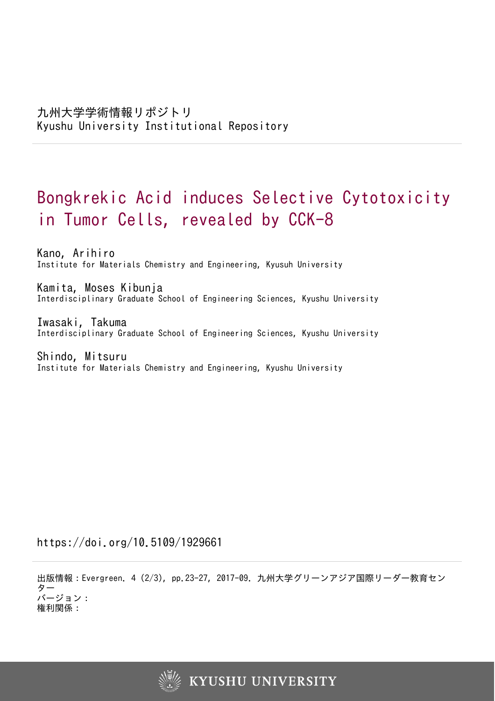# Bongkrekic Acid induces Selective Cytotoxicity in Tumor Cells, revealed by CCK-8

Kano, Arihiro Institute for Materials Chemistry and Engineering, Kyusuh University

Kamita, Moses Kibunja Interdisciplinary Graduate School of Engineering Sciences, Kyushu University

Iwasaki, Takuma Interdisciplinary Graduate School of Engineering Sciences, Kyushu University

Shindo, Mitsuru Institute for Materials Chemistry and Engineering, Kyushu University

https://doi.org/10.5109/1929661

出版情報:Evergreen. 4 (2/3), pp.23-27, 2017-09. 九州大学グリーンアジア国際リーダー教育セン ター バージョン: 権利関係:

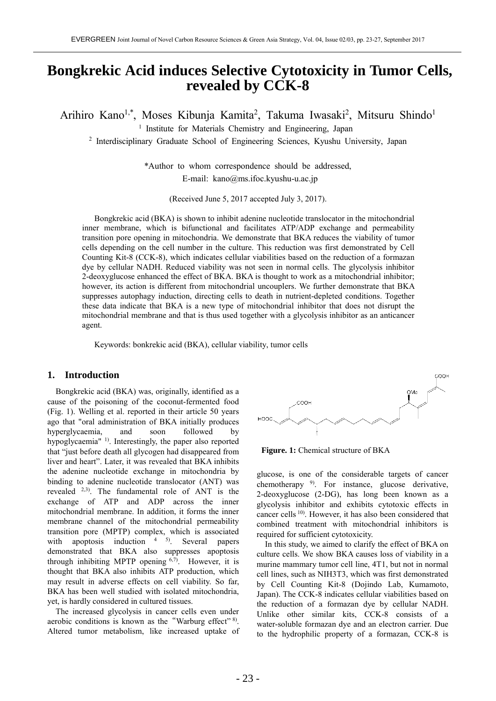# **Bongkrekic Acid induces Selective Cytotoxicity in Tumor Cells, revealed by CCK-8**

Arihiro Kano<sup>1,\*</sup>, Moses Kibunja Kamita<sup>2</sup>, Takuma Iwasaki<sup>2</sup>, Mitsuru Shindo<sup>1</sup>

<sup>1</sup> Institute for Materials Chemistry and Engineering, Japan

<sup>2</sup> Interdisciplinary Graduate School of Engineering Sciences, Kyushu University, Japan

\*Author to whom correspondence should be addressed, E-mail: kano@ms.ifoc.kyushu-u.ac.jp

(Received June 5, 2017 accepted July 3, 2017).

Bongkrekic acid (BKA) is shown to inhibit adenine nucleotide translocator in the mitochondrial inner membrane, which is bifunctional and facilitates ATP/ADP exchange and permeability transition pore opening in mitochondria. We demonstrate that BKA reduces the viability of tumor cells depending on the cell number in the culture. This reduction was first demonstrated by Cell Counting Kit-8 (CCK-8), which indicates cellular viabilities based on the reduction of a formazan dye by cellular NADH. Reduced viability was not seen in normal cells. The glycolysis inhibitor 2-deoxyglucose enhanced the effect of BKA. BKA is thought to work as a mitochondrial inhibitor; however, its action is different from mitochondrial uncouplers. We further demonstrate that BKA suppresses autophagy induction, directing cells to death in nutrient-depleted conditions. Together these data indicate that BKA is a new type of mitochondrial inhibitor that does not disrupt the mitochondrial membrane and that is thus used together with a glycolysis inhibitor as an anticancer agent.

Keywords: bonkrekic acid (BKA), cellular viability, tumor cells

#### **1. Introduction**

Bongkrekic acid (BKA) was, originally, identified as a cause of the poisoning of the coconut-fermented food (Fig. 1). Welling et al. reported in their article 50 years ago that "oral administration of BKA initially produces hyperglycaemia, and soon followed by hypoglycaemia" <sup>1)</sup>. Interestingly, the paper also reported that "just before death all glycogen had disappeared from liver and heart". Later, it was revealed that BKA inhibits the adenine nucleotide exchange in mitochondria by binding to adenine nucleotide translocator (ANT) was revealed 2,3). The fundamental role of ANT is the exchange of ATP and ADP across the inner mitochondrial membrane. In addition, it forms the inner membrane channel of the mitochondrial permeability transition pore (MPTP) complex, which is associated with apoptosis induction  $45$ . Several papers demonstrated that BKA also suppresses apoptosis through inhibiting MPTP opening  $6,7$ . However, it is thought that BKA also inhibits ATP production, which may result in adverse effects on cell viability. So far, BKA has been well studied with isolated mitochondria, yet, is hardly considered in cultured tissues.

The increased glycolysis in cancer cells even under aerobic conditions is known as the "Warburg effect" 8). Altered tumor metabolism, like increased uptake of



**Figure. 1:** Chemical structure of BKA

glucose, is one of the considerable targets of cancer chemotherapy <sup>9</sup>. For instance, glucose derivative, 2-deoxyglucose (2-DG), has long been known as a glycolysis inhibitor and exhibits cytotoxic effects in cancer cells 10). However, it has also been considered that combined treatment with mitochondrial inhibitors is required for sufficient cytotoxicity.

In this study, we aimed to clarify the effect of BKA on culture cells. We show BKA causes loss of viability in a murine mammary tumor cell line, 4T1, but not in normal cell lines, such as NIH3T3, which was first demonstrated by Cell Counting Kit-8 (Dojindo Lab, Kumamoto, Japan). The CCK-8 indicates cellular viabilities based on the reduction of a formazan dye by cellular NADH. Unlike other similar kits, CCK-8 consists of a water-soluble formazan dye and an electron carrier. Due to the hydrophilic property of a formazan, CCK-8 is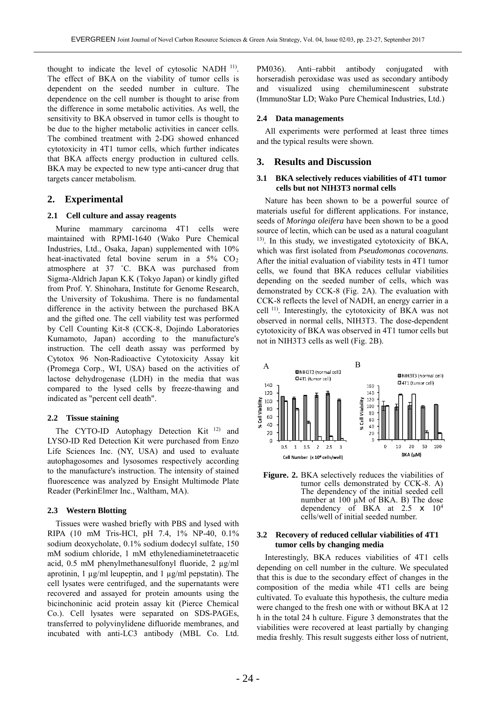thought to indicate the level of cytosolic NADH 11). The effect of BKA on the viability of tumor cells is dependent on the seeded number in culture. The dependence on the cell number is thought to arise from the difference in some metabolic activities. As well, the sensitivity to BKA observed in tumor cells is thought to be due to the higher metabolic activities in cancer cells. The combined treatment with 2-DG showed enhanced cytotoxicity in 4T1 tumor cells, which further indicates that BKA affects energy production in cultured cells. BKA may be expected to new type anti-cancer drug that targets cancer metabolism.

#### **2. Experimental**

#### **2.1 Cell culture and assay reagents**

Murine mammary carcinoma 4T1 cells were maintained with RPMI-1640 (Wako Pure Chemical Industries, Ltd., Osaka, Japan) supplemented with 10% heat-inactivated fetal bovine serum in a 5% CO<sub>2</sub> atmosphere at 37 ˚C. BKA was purchased from Sigma-Aldrich Japan K.K (Tokyo Japan) or kindly gifted from Prof. Y. Shinohara, Institute for Genome Research, the University of Tokushima. There is no fundamental difference in the activity between the purchased BKA and the gifted one. The cell viability test was performed by Cell Counting Kit-8 (CCK-8, Dojindo Laboratories Kumamoto, Japan) according to the manufacture's instruction. The cell death assay was performed by Cytotox 96 Non-Radioactive Cytotoxicity Assay kit (Promega Corp., WI, USA) based on the activities of lactose dehydrogenase (LDH) in the media that was compared to the lysed cells by freeze-thawing and indicated as "percent cell death".

#### **2.2 Tissue staining**

The CYTO-ID Autophagy Detection Kit<sup>12)</sup> and LYSO-ID Red Detection Kit were purchased from Enzo Life Sciences Inc. (NY, USA) and used to evaluate autophagosomes and lysosomes respectively according to the manufacture's instruction. The intensity of stained fluorescence was analyzed by Ensight Multimode Plate Reader (PerkinElmer Inc., Waltham, MA).

#### **2.3 Western Blotting**

Tissues were washed briefly with PBS and lysed with RIPA (10 mM Tris-HCl, pH 7.4, 1% NP-40, 0.1% sodium deoxycholate, 0.1% sodium dodecyl sulfate, 150 mM sodium chloride, 1 mM ethylenediaminetetraacetic acid, 0.5 mM phenylmethanesulfonyl fluoride, 2 µg/ml aprotinin, 1 µg/ml leupeptin, and 1 µg/ml pepstatin). The cell lysates were centrifuged, and the supernatants were recovered and assayed for protein amounts using the bicinchoninic acid protein assay kit (Pierce Chemical Co.). Cell lysates were separated on SDS-PAGEs, transferred to polyvinylidene difluoride membranes, and incubated with anti-LC3 antibody (MBL Co. Ltd.

PM036). Anti–rabbit antibody conjugated with horseradish peroxidase was used as secondary antibody and visualized using chemiluminescent substrate (ImmunoStar LD; Wako Pure Chemical Industries, Ltd.)

#### **2.4 Data managements**

All experiments were performed at least three times and the typical results were shown.

#### **3. Results and Discussion**

#### **3.1 BKA selectively reduces viabilities of 4T1 tumor cells but not NIH3T3 normal cells**

Nature has been shown to be a powerful source of materials useful for different applications. For instance, seeds of *Moringa oleifera* have been shown to be a good source of lectin, which can be used as a natural coagulant 13). In this study, we investigated cytotoxicity of BKA, which was first isolated from *Pseudomonas cocovenans.*  After the initial evaluation of viability tests in 4T1 tumor cells, we found that BKA reduces cellular viabilities depending on the seeded number of cells, which was demonstrated by CCK-8 (Fig. 2A). The evaluation with CCK-8 reflects the level of NADH, an energy carrier in a cell 11). Interestingly, the cytotoxicity of BKA was not observed in normal cells, NIH3T3. The dose-dependent cytotoxicity of BKA was observed in 4T1 tumor cells but not in NIH3T3 cells as well (Fig. 2B).



Figure. 2. BKA selectively reduces the viabilities of tumor cells demonstrated by CCK-8. A) The dependency of the initial seeded cell number at  $100 \mu M$  of BKA. B) The dose dependency of BKA at  $2.5 \times 10^4$ cells/well of initial seeded number.

#### **3.2 Recovery of reduced cellular viabilities of 4T1 tumor cells by changing media**

Interestingly, BKA reduces viabilities of 4T1 cells depending on cell number in the culture. We speculated that this is due to the secondary effect of changes in the composition of the media while 4T1 cells are being cultivated. To evaluate this hypothesis, the culture media were changed to the fresh one with or without BKA at 12 h in the total 24 h culture. Figure 3 demonstrates that the viabilities were recovered at least partially by changing media freshly. This result suggests either loss of nutrient,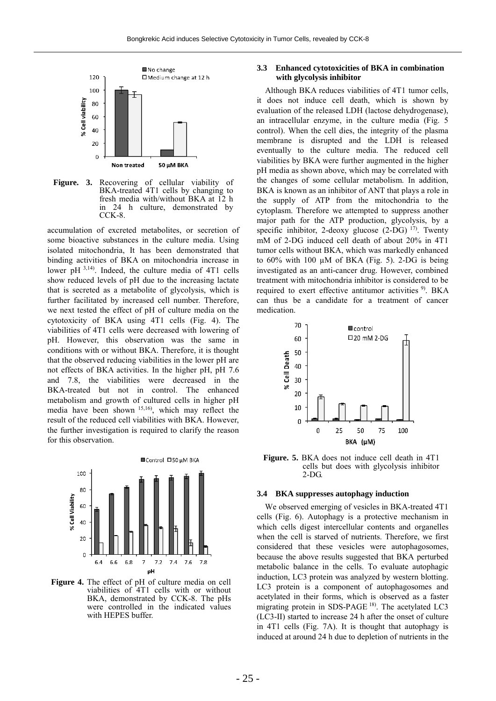

**Figure. 3.** Recovering of cellular viability of BKA-treated 4T1 cells by changing to fresh media with/without BKA at 12 h in 24 h culture, demonstrated by CCK-8.

accumulation of excreted metabolites, or secretion of some bioactive substances in the culture media. Using isolated mitochondria, It has been demonstrated that binding activities of BKA on mitochondria increase in lower pH  $^{3,14}$ . Indeed, the culture media of 4T1 cells show reduced levels of pH due to the increasing lactate that is secreted as a metabolite of glycolysis, which is further facilitated by increased cell number. Therefore, we next tested the effect of pH of culture media on the cytotoxicity of BKA using 4T1 cells (Fig. 4). The viabilities of 4T1 cells were decreased with lowering of pH. However, this observation was the same in conditions with or without BKA. Therefore, it is thought that the observed reducing viabilities in the lower pH are not effects of BKA activities. In the higher pH, pH 7.6 and 7.8, the viabilities were decreased in the BKA-treated but not in control. The enhanced metabolism and growth of cultured cells in higher pH media have been shown  $^{15,16}$ , which may reflect the result of the reduced cell viabilities with BKA. However, the further investigation is required to clarify the reason for this observation.



**Figure 4.** The effect of pH of culture media on cell viabilities of 4T1 cells with or without BKA, demonstrated by CCK-8. The pHs were controlled in the indicated values with HEPES buffer.

## **3.3 Enhanced cytotoxicities of BKA in combination with glycolysis inhibitor**

Although BKA reduces viabilities of 4T1 tumor cells, it does not induce cell death, which is shown by evaluation of the released LDH (lactose dehydrogenase), an intracellular enzyme, in the culture media (Fig. 5 control). When the cell dies, the integrity of the plasma membrane is disrupted and the LDH is released eventually to the culture media. The reduced cell viabilities by BKA were further augmented in the higher pH media as shown above, which may be correlated with the changes of some cellular metabolism. In addition, BKA is known as an inhibitor of ANT that plays a role in the supply of ATP from the mitochondria to the cytoplasm. Therefore we attempted to suppress another major path for the ATP production, glycolysis, by a specific inhibitor, 2-deoxy glucose  $(2-DG)$  <sup>17</sup>. Twenty mM of 2-DG induced cell death of about 20% in 4T1 tumor cells without BKA, which was markedly enhanced to  $60\%$  with 100  $\mu$ M of BKA (Fig. 5). 2-DG is being investigated as an anti-cancer drug. However, combined treatment with mitochondria inhibitor is considered to be required to exert effective antitumor activities <sup>9)</sup>. BKA can thus be a candidate for a treatment of cancer medication.



**Figure. 5.** BKA does not induce cell death in 4T1 cells but does with glycolysis inhibitor 2-DG.

#### **3.4 BKA suppresses autophagy induction**

We observed emerging of vesicles in BKA-treated 4T1 cells (Fig. 6). Autophagy is a protective mechanism in which cells digest intercellular contents and organelles when the cell is starved of nutrients. Therefore, we first considered that these vesicles were autophagosomes, because the above results suggested that BKA perturbed metabolic balance in the cells. To evaluate autophagic induction, LC3 protein was analyzed by western blotting. LC3 protein is a component of autophagosomes and acetylated in their forms, which is observed as a faster migrating protein in SDS-PAGE 18). The acetylated LC3 (LC3-II) started to increase 24 h after the onset of culture in 4T1 cells (Fig. 7A). It is thought that autophagy is induced at around 24 h due to depletion of nutrients in the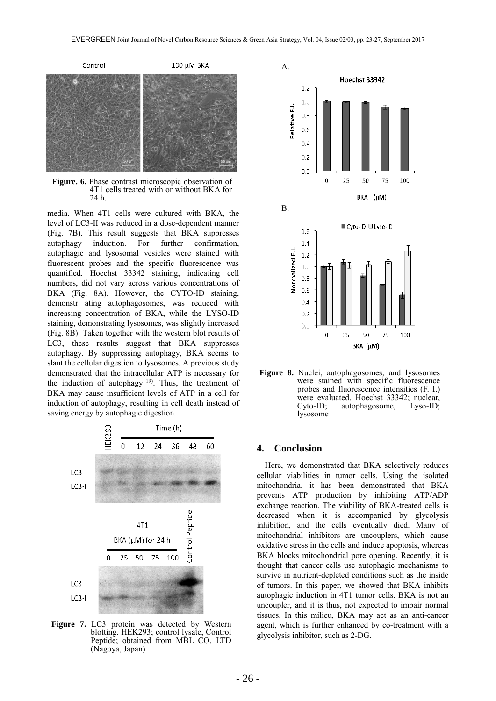

**Figure. 6.** Phase contrast microscopic observation of 4T1 cells treated with or without BKA for 24 h.

media. When 4T1 cells were cultured with BKA, the level of LC3-II was reduced in a dose-dependent manner (Fig. 7B). This result suggests that BKA suppresses autophagy induction. For further confirmation, autophagic and lysosomal vesicles were stained with fluorescent probes and the specific fluorescence was quantified. Hoechst 33342 staining, indicating cell numbers, did not vary across various concentrations of BKA (Fig. 8A). However, the CYTO-ID staining, demonstr ating autophagosomes, was reduced with increasing concentration of BKA, while the LYSO-ID staining, demonstrating lysosomes, was slightly increased (Fig. 8B). Taken together with the western blot results of LC3, these results suggest that BKA suppresses autophagy. By suppressing autophagy, BKA seems to slant the cellular digestion to lysosomes. A previous study demonstrated that the intracellular ATP is necessary for the induction of autophagy  $19$ . Thus, the treatment of BKA may cause insufficient levels of ATP in a cell for induction of autophagy, resulting in cell death instead of saving energy by autophagic digestion.



**Figure 7.** LC3 protein was detected by Western blotting. HEK293; control lysate, Control Peptide; obtained from MBL CO. LTD (Nagoya, Japan)



**Figure 8.** Nuclei, autophagosomes, and lysosomes were stained with specific fluorescence probes and fluorescence intensities (F. I.) were evaluated. Hoechst 33342; nuclear,<br>Cyto-ID; autophagosome, Lyso-ID; autophagosome, lysosome

#### **4. Conclusion**

Here, we demonstrated that BKA selectively reduces cellular viabilities in tumor cells. Using the isolated mitochondria, it has been demonstrated that BKA prevents ATP production by inhibiting ATP/ADP exchange reaction. The viability of BKA-treated cells is decreased when it is accompanied by glycolysis inhibition, and the cells eventually died. Many of mitochondrial inhibitors are uncouplers, which cause oxidative stress in the cells and induce apoptosis, whereas BKA blocks mitochondrial pore opening. Recently, it is thought that cancer cells use autophagic mechanisms to survive in nutrient-depleted conditions such as the inside of tumors. In this paper, we showed that BKA inhibits autophagic induction in 4T1 tumor cells. BKA is not an uncoupler, and it is thus, not expected to impair normal tissues. In this milieu, BKA may act as an anti-cancer agent, which is further enhanced by co-treatment with a glycolysis inhibitor, such as 2-DG.